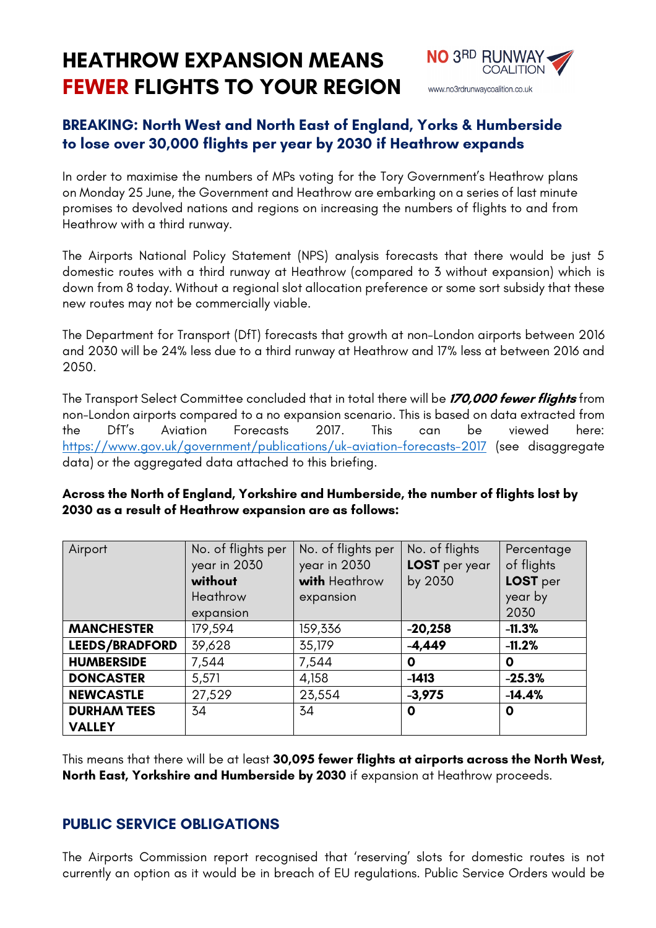# **HEATHROW EXPANSION MEANS FEWER FLIGHTS TO YOUR REGION**



## **BREAKING: North West and North East of England, Yorks & Humberside to lose over 30,000 flights per year by 2030 if Heathrow expands**

In order to maximise the numbers of MPs voting for the Tory Government's Heathrow plans on Monday 25 June, the Government and Heathrow are embarking on a series of last minute promises to devolved nations and regions on increasing the numbers of flights to and from Heathrow with a third runway.

The Airports National Policy Statement (NPS) analysis forecasts that there would be just 5 domestic routes with a third runway at Heathrow (compared to 3 without expansion) which is down from 8 today. Without a regional slot allocation preference or some sort subsidy that these new routes may not be commercially viable.

The Department for Transport (DfT) forecasts that growth at non-London airports between 2016 and 2030 will be 24% less due to a third runway at Heathrow and 17% less at between 2016 and 2050.

The Transport Select Committee concluded that in total there will be **170,000 fewer flights** from non-London airports compared to a no expansion scenario. This is based on data extracted from the DfT's Aviation Forecasts 2017. This can be viewed here: https://www.gov.uk/government/publications/uk-aviation-forecasts-2017 (see disaggregate data) or the aggregated data attached to this briefing.

| Airport               | No. of flights per<br>year in 2030<br>without<br>Heathrow<br>expansion | No. of flights per<br>year in 2030<br>with Heathrow<br>expansion | No. of flights<br>LOST per year<br>by 2030 | Percentage<br>of flights<br>LOST per<br>year by<br>2030 |
|-----------------------|------------------------------------------------------------------------|------------------------------------------------------------------|--------------------------------------------|---------------------------------------------------------|
| <b>MANCHESTER</b>     | 179,594                                                                | 159,336                                                          | $-20,258$                                  | $-11.3%$                                                |
| <b>LEEDS/BRADFORD</b> | 39,628                                                                 | 35,179                                                           | $-4,449$                                   | $-11.2%$                                                |
| <b>HUMBERSIDE</b>     | 7,544                                                                  | 7,544                                                            | 0                                          | 0                                                       |
| <b>DONCASTER</b>      | 5,571                                                                  | 4,158                                                            | $-1413$                                    | $-25.3%$                                                |
| <b>NEWCASTLE</b>      | 27,529                                                                 | 23,554                                                           | $-3,975$                                   | $-14.4%$                                                |
| <b>DURHAM TEES</b>    | 34                                                                     | 34                                                               | 0                                          | 0                                                       |
| <b>VALLEY</b>         |                                                                        |                                                                  |                                            |                                                         |

#### **Across the North of England, Yorkshire and Humberside, the number of flights lost by 2030 as a result of Heathrow expansion are as follows:**

This means that there will be at least **30,095 fewer flights at airports across the North West, North East, Yorkshire and Humberside by 2030** if expansion at Heathrow proceeds.

#### **PUBLIC SERVICE OBLIGATIONS**

The Airports Commission report recognised that 'reserving' slots for domestic routes is not currently an option as it would be in breach of EU regulations. Public Service Orders would be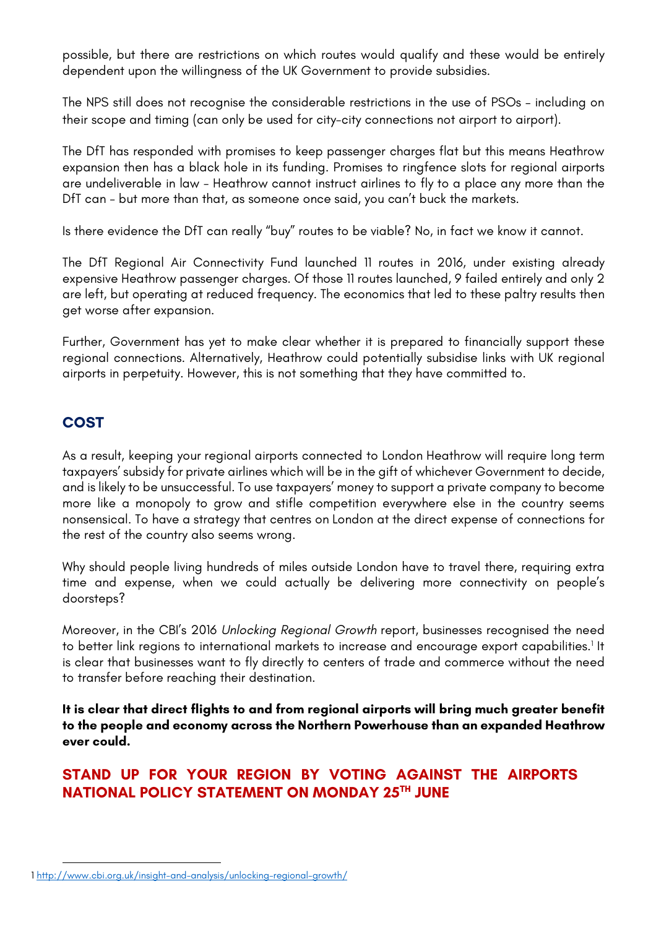possible, but there are restrictions on which routes would qualify and these would be entirely dependent upon the willingness of the UK Government to provide subsidies.

The NPS still does not recognise the considerable restrictions in the use of PSOs – including on their scope and timing (can only be used for city-city connections not airport to airport).

The DfT has responded with promises to keep passenger charges flat but this means Heathrow expansion then has a black hole in its funding. Promises to ringfence slots for regional airports are undeliverable in law - Heathrow cannot instruct airlines to fly to a place any more than the DfT can - but more than that, as someone once said, you can't buck the markets.

Is there evidence the DfT can really "buy" routes to be viable? No, in fact we know it cannot.

The DfT Regional Air Connectivity Fund launched 11 routes in 2016, under existing already expensive Heathrow passenger charges. Of those 11 routes launched, 9 failed entirely and only 2 are left, but operating at reduced frequency. The economics that led to these paltry results then get worse after expansion.

Further, Government has yet to make clear whether it is prepared to financially support these regional connections. Alternatively, Heathrow could potentially subsidise links with UK regional airports in perpetuity. However, this is not something that they have committed to.

### **COST**

 $\overline{a}$ 

As a result, keeping your regional airports connected to London Heathrow will require long term taxpayers' subsidy for private airlines which will be in the gift of whichever Government to decide, and is likely to be unsuccessful. To use taxpayers' money to support a private company to become more like a monopoly to grow and stifle competition everywhere else in the country seems nonsensical. To have a strategy that centres on London at the direct expense of connections for the rest of the country also seems wrong.

Why should people living hundreds of miles outside London have to travel there, requiring extra time and expense, when we could actually be delivering more connectivity on people's doorsteps?

Moreover, in the CBI's 2016 *Unlocking Regional Growth* report, businesses recognised the need to better link regions to international markets to increase and encourage export capabilities.<sup>1</sup> It is clear that businesses want to fly directly to centers of trade and commerce without the need to transfer before reaching their destination.

**It is clear that direct flights to and from regional airports will bring much greater benefit to the people and economy across the Northern Powerhouse than an expanded Heathrow ever could.** 

## **STAND UP FOR YOUR REGION BY VOTING AGAINST THE AIRPORTS NATIONAL POLICY STATEMENT ON MONDAY 25TH JUNE**

<sup>1</sup> http://www.cbi.org.uk/insight-and-analysis/unlocking-regional-growth/